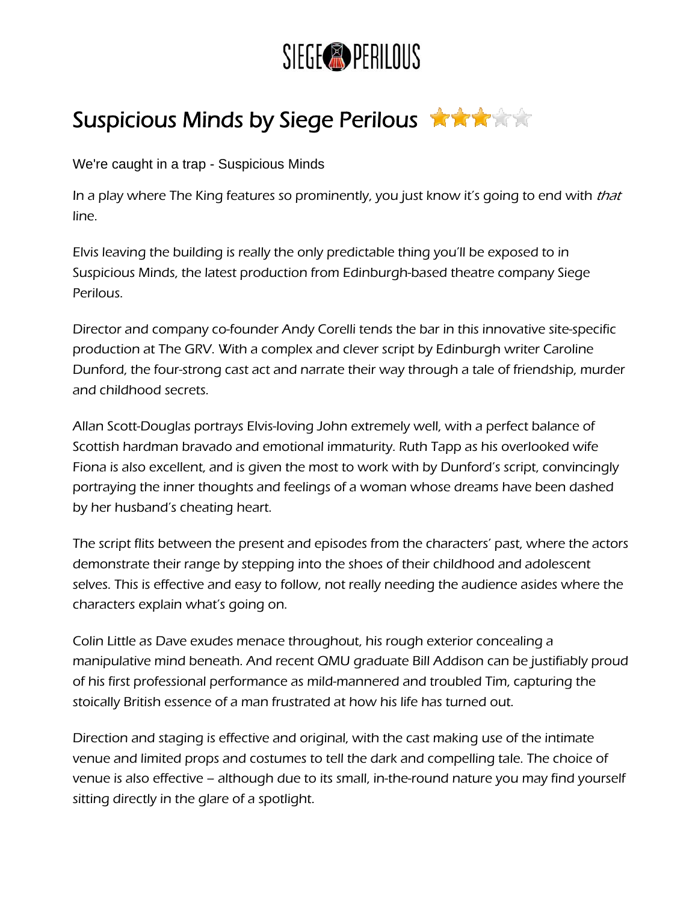

## Suspicious Minds by Siege Perilous

We're caught in a trap - Suspicious Minds

In a play where The King features so prominently, you just know it's going to end with that line.

Elvis leaving the building is really the only predictable thing you'll be exposed to in [Suspicious Minds,](http://www.siegeperilous.co.uk/suspicious_minds/index.htm) the latest production from Edinburgh-based theatre company Siege Perilous.

Director and company co-founder Andy Corelli tends the bar in this innovative site-specific production at The GRV. With a complex and clever script by Edinburgh writer Caroline Dunford, the four-strong cast act and narrate their way through a tale of friendship, murder and childhood secrets.

Allan Scott-Douglas portrays Elvis-loving John extremely well, with a perfect balance of Scottish hardman bravado and emotional immaturity. Ruth Tapp as his overlooked wife Fiona is also excellent, and is given the most to work with by Dunford's script, convincingly portraying the inner thoughts and feelings of a woman whose dreams have been dashed by her husband's cheating heart.

The script flits between the present and episodes from the characters' past, where the actors demonstrate their range by stepping into the shoes of their childhood and adolescent selves. This is effective and easy to follow, not really needing the audience asides where the characters explain what's going on.

Colin Little as Dave exudes menace throughout, his rough exterior concealing a manipulative mind beneath. And recent QMU graduate Bill Addison can be justifiably proud of his first professional performance as mild-mannered and troubled Tim, capturing the stoically British essence of a man frustrated at how his life has turned out.

Direction and staging is effective and original, with the cast making use of the intimate venue and limited props and costumes to tell the dark and compelling tale. The choice of venue is also effective – although due to its small, in-the-round nature you may find yourself sitting directly in the glare of a spotlight.